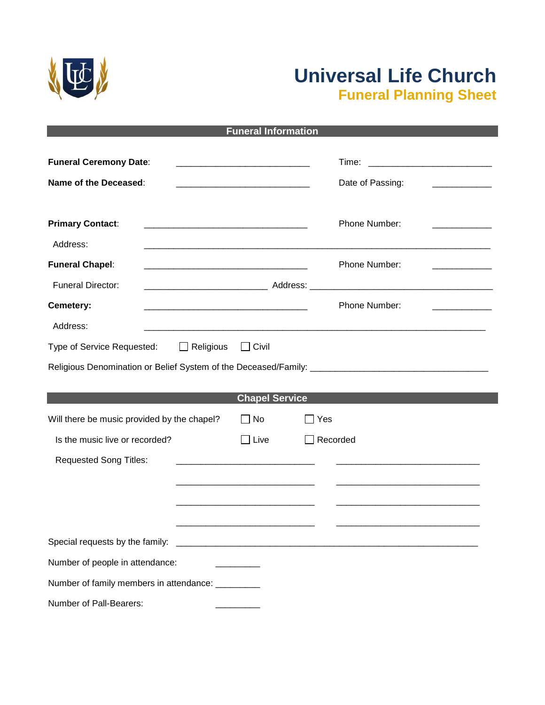

## **Universal Life Church Funeral Planning Sheet**

| <b>Funeral Information</b>                                      |                                                                                                                                                                                                                                      |                  |  |  |  |  |  |
|-----------------------------------------------------------------|--------------------------------------------------------------------------------------------------------------------------------------------------------------------------------------------------------------------------------------|------------------|--|--|--|--|--|
| <b>Funeral Ceremony Date:</b>                                   | Time:                                                                                                                                                                                                                                |                  |  |  |  |  |  |
| Name of the Deceased:                                           | <u> 1980 - Jan Salaman, mangang mga kalendar ng mga kalendar ng mga kalendar ng mga kalendar ng mga kalendar ng mga kalendar ng mga kalendar ng mga kalendar ng mga kalendar ng mga kalendar ng mga kalendar ng mga kalendar ng </u> | Date of Passing: |  |  |  |  |  |
| <b>Primary Contact:</b><br>Address:                             |                                                                                                                                                                                                                                      | Phone Number:    |  |  |  |  |  |
| <b>Funeral Chapel:</b><br><b>Funeral Director:</b>              |                                                                                                                                                                                                                                      | Phone Number:    |  |  |  |  |  |
| Cemetery:<br>Address:                                           |                                                                                                                                                                                                                                      | Phone Number:    |  |  |  |  |  |
| $\Box$ Religious<br>Type of Service Requested:                  | $\sqcap$ Civil<br><b>Chapel Service</b>                                                                                                                                                                                              |                  |  |  |  |  |  |
| Will there be music provided by the chapel?                     | $\Box$ No                                                                                                                                                                                                                            | Yes              |  |  |  |  |  |
| Is the music live or recorded?<br><b>Requested Song Titles:</b> | $\Box$ Live                                                                                                                                                                                                                          | Recorded         |  |  |  |  |  |
| Special requests by the family:                                 |                                                                                                                                                                                                                                      |                  |  |  |  |  |  |
| Number of people in attendance:                                 |                                                                                                                                                                                                                                      |                  |  |  |  |  |  |
| Number of family members in attendance: ________                |                                                                                                                                                                                                                                      |                  |  |  |  |  |  |
| Number of Pall-Bearers:                                         |                                                                                                                                                                                                                                      |                  |  |  |  |  |  |